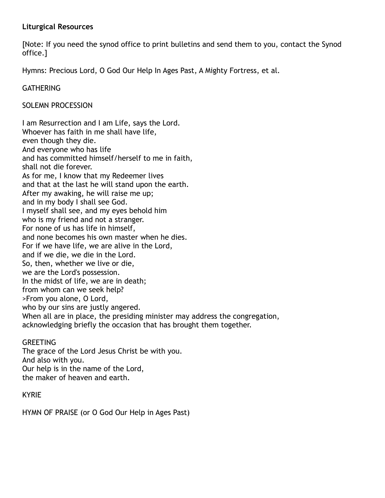#### **Liturgical Resources**

[Note: If you need the synod office to print bulletins and send them to you, contact the Synod office.]

Hymns: Precious Lord, O God Our Help In Ages Past, A Mighty Fortress, et al.

**GATHERING** 

SOLEMN PROCESSION

I am Resurrection and I am Life, says the Lord. Whoever has faith in me shall have life, even though they die. And everyone who has life and has committed himself/herself to me in faith, shall not die forever. As for me, I know that my Redeemer lives and that at the last he will stand upon the earth. After my awaking, he will raise me up; and in my body I shall see God. I myself shall see, and my eyes behold him who is my friend and not a stranger. For none of us has life in himself, and none becomes his own master when he dies. For if we have life, we are alive in the Lord, and if we die, we die in the Lord. So, then, whether we live or die, we are the Lord's possession. In the midst of life, we are in death; from whom can we seek help? >From you alone, O Lord, who by our sins are justly angered. When all are in place, the presiding minister may address the congregation, acknowledging briefly the occasion that has brought them together.

# **GREETING**

The grace of the Lord Jesus Christ be with you. And also with you. Our help is in the name of the Lord, the maker of heaven and earth.

KYRIE

HYMN OF PRAISE (or O God Our Help in Ages Past)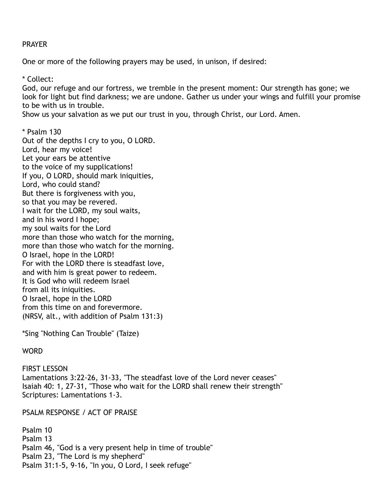#### PRAYER

One or more of the following prayers may be used, in unison, if desired:

\* Collect:

God, our refuge and our fortress, we tremble in the present moment: Our strength has gone; we look for light but find darkness; we are undone. Gather us under your wings and fulfill your promise to be with us in trouble.

Show us your salvation as we put our trust in you, through Christ, our Lord. Amen.

\* Psalm 130 Out of the depths I cry to you, O LORD. Lord, hear my voice! Let your ears be attentive to the voice of my supplications! If you, O LORD, should mark iniquities, Lord, who could stand? But there is forgiveness with you, so that you may be revered. I wait for the LORD, my soul waits, and in his word I hope; my soul waits for the Lord more than those who watch for the morning, more than those who watch for the morning. O Israel, hope in the LORD! For with the LORD there is steadfast love, and with him is great power to redeem. It is God who will redeem Israel from all its iniquities. O Israel, hope in the LORD from this time on and forevermore. (NRSV, alt., with addition of Psalm 131:3)

\*Sing "Nothing Can Trouble" (Taize)

#### **WORD**

**FIRST LESSON** Lamentations 3:22-26, 31-33, "The steadfast love of the Lord never ceases" Isaiah 40: 1, 27-31, "Those who wait for the LORD shall renew their strength" Scriptures: Lamentations 1-3.

PSALM RESPONSE / ACT OF PRAISE

Psalm 10 Psalm 13 Psalm 46, "God is a very present help in time of trouble" Psalm 23, "The Lord is my shepherd" Psalm 31:1-5, 9-16, "In you, O Lord, I seek refuge"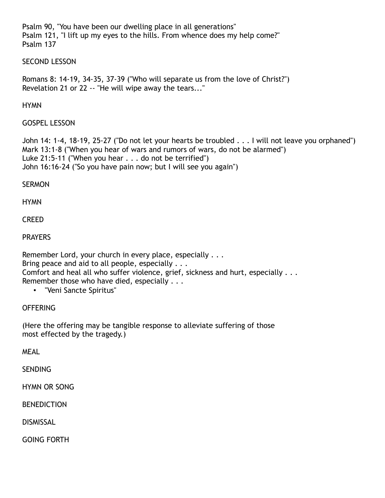Psalm 90, "You have been our dwelling place in all generations" Psalm 121, "I lift up my eyes to the hills. From whence does my help come?" Psalm 137

#### SECOND LESSON

Romans 8: 14-19, 34-35, 37-39 ("Who will separate us from the love of Christ?") Revelation 21 or 22 -- "He will wipe away the tears..."

#### **HYMN**

GOSPEL LESSON

John 14: 1-4, 18-19, 25-27 ("Do not let your hearts be troubled . . . I will not leave you orphaned") Mark 13:1-8 ("When you hear of wars and rumors of wars, do not be alarmed") Luke 21:5-11 ("When you hear . . . do not be terrified") John 16:16-24 ("So you have pain now; but I will see you again")

#### **SERMON**

**HYMN** 

**CREED** 

# PRAYERS

Remember Lord, your church in every place, especially . . . Bring peace and aid to all people, especially . . . Comfort and heal all who suffer violence, grief, sickness and hurt, especially . . . Remember those who have died, especially . . .

# • "Veni Sancte Spiritus"

# OFFERING

(Here the offering may be tangible response to alleviate suffering of those most effected by the tragedy.)

MEAL

**SENDING** 

HYMN OR SONG

BENEDICTION

**DISMISSAL** 

GOING FORTH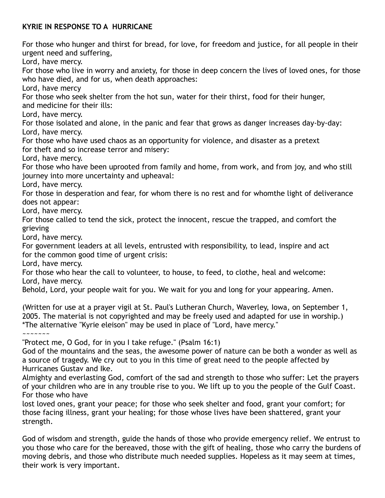# **KYRIE IN RESPONSE TO A HURRICANE**

For those who hunger and thirst for bread, for love, for freedom and justice, for all people in their urgent need and suffering,

Lord, have mercy.

For those who live in worry and anxiety, for those in deep concern the lives of loved ones, for those who have died, and for us, when death approaches:

Lord, have mercy

For those who seek shelter from the hot sun, water for their thirst, food for their hunger, and medicine for their ills:

Lord, have mercy.

For those isolated and alone, in the panic and fear that grows as danger increases day-by-day: Lord, have mercy.

For those who have used chaos as an opportunity for violence, and disaster as a pretext for theft and so increase terror and misery:

Lord, have mercy.

For those who have been uprooted from family and home, from work, and from joy, and who still journey into more uncertainty and upheaval:

Lord, have mercy.

For those in desperation and fear, for whom there is no rest and for whomthe light of deliverance does not appear:

Lord, have mercy.

For those called to tend the sick, protect the innocent, rescue the trapped, and comfort the grieving

Lord, have mercy.

For government leaders at all levels, entrusted with responsibility, to lead, inspire and act for the common good time of urgent crisis:

Lord, have mercy.

For those who hear the call to volunteer, to house, to feed, to clothe, heal and welcome: Lord, have mercy.

Behold, Lord, your people wait for you. We wait for you and long for your appearing. Amen.

(Written for use at a prayer vigil at St. Paul's Lutheran Church, Waverley, Iowa, on September 1, 2005. The material is not copyrighted and may be freely used and adapted for use in worship.) \*The alternative "Kyrie eleison" may be used in place of "Lord, have mercy."

~~~~~~~

"Protect me, O God, for in you I take refuge." (Psalm 16:1)

God of the mountains and the seas, the awesome power of nature can be both a wonder as well as a source of tragedy. We cry out to you in this time of great need to the people affected by Hurricanes Gustav and Ike.

Almighty and everlasting God, comfort of the sad and strength to those who suffer: Let the prayers of your children who are in any trouble rise to you. We lift up to you the people of the Gulf Coast. For those who have

lost loved ones, grant your peace; for those who seek shelter and food, grant your comfort; for those facing illness, grant your healing; for those whose lives have been shattered, grant your strength.

God of wisdom and strength, guide the hands of those who provide emergency relief. We entrust to you those who care for the bereaved, those with the gift of healing, those who carry the burdens of moving debris, and those who distribute much needed supplies. Hopeless as it may seem at times, their work is very important.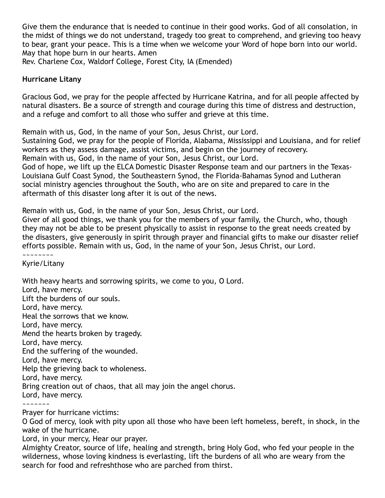Give them the endurance that is needed to continue in their good works. God of all consolation, in the midst of things we do not understand, tragedy too great to comprehend, and grieving too heavy to bear, grant your peace. This is a time when we welcome your Word of hope born into our world. May that hope burn in our hearts. Amen Rev. Charlene Cox, Waldorf College, Forest City, IA (Emended)

#### **Hurricane Litany**

Gracious God, we pray for the people affected by Hurricane Katrina, and for all people affected by natural disasters. Be a source of strength and courage during this time of distress and destruction, and a refuge and comfort to all those who suffer and grieve at this time.

Remain with us, God, in the name of your Son, Jesus Christ, our Lord.

Sustaining God, we pray for the people of Florida, Alabama, Mississippi and Louisiana, and for relief workers as they assess damage, assist victims, and begin on the journey of recovery. Remain with us, God, in the name of your Son, Jesus Christ, our Lord. God of hope, we lift up the ELCA Domestic Disaster Response team and our partners in the Texas-Louisiana Gulf Coast Synod, the Southeastern Synod, the Florida-Bahamas Synod and Lutheran social ministry agencies throughout the South, who are on site and prepared to care in the aftermath of this disaster long after it is out of the news.

Remain with us, God, in the name of your Son, Jesus Christ, our Lord.

Giver of all good things, we thank you for the members of your family, the Church, who, though they may not be able to be present physically to assist in response to the great needs created by the disasters, give generously in spirit through prayer and financial gifts to make our disaster relief efforts possible. Remain with us, God, in the name of your Son, Jesus Christ, our Lord. ~~~~~~~~

Kyrie/Litany

With heavy hearts and sorrowing spirits, we come to you, O Lord. Lord, have mercy. Lift the burdens of our souls. Lord, have mercy. Heal the sorrows that we know. Lord, have mercy. Mend the hearts broken by tragedy. Lord, have mercy. End the suffering of the wounded. Lord, have mercy. Help the grieving back to wholeness. Lord, have mercy. Bring creation out of chaos, that all may join the angel chorus. Lord, have mercy. ~~~~~~~

Prayer for hurricane victims:

O God of mercy, look with pity upon all those who have been left homeless, bereft, in shock, in the wake of the hurricane.

Lord, in your mercy, Hear our prayer.

Almighty Creator, source of life, healing and strength, bring Holy God, who fed your people in the wilderness, whose loving kindness is everlasting, lift the burdens of all who are weary from the search for food and refreshthose who are parched from thirst.